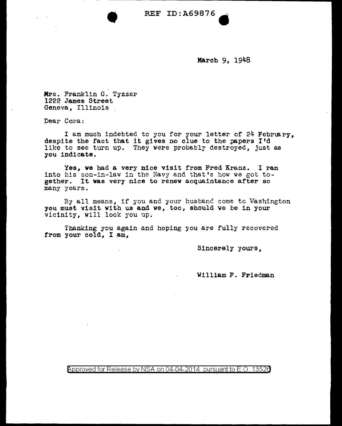• REF ID:A69876.

March 9, 1948

' Mrs. Franklin G. Tyzzer 1222 James Street Geneva, Illinois

Dear Cora:

I am much indebted to you for your letter of 24 February, despite the fact that it gives no clue to the papers I'd like to see turn up. They were probably destroyed, just as you indicate.

Yes, ve had a very nice visit from Fred Kranz. I ran into his son-in-law in the Navy and that's how we got together. It was very nice to renew acquaintance after so many years.

By all means, if you and your husbanC. come to Washington you must visit with us and we, too, should we be in your vicinity, will look you up.

Thanking you again and hoping you are fully recovered from your cold, I am,

Sincerely yours,

William F. Friedman

Approved for Release by NSA on 04-04-2014 pursuant to E.O. 1352a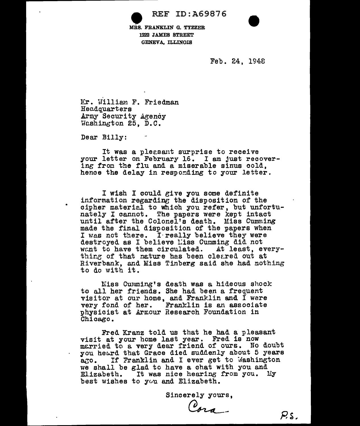• REF ID:A69876

lfRS. FRANKLIN G. TYZZER 1222 JAMES STREET GENEVA, ILLINOIS

Feb. 24, 1948

Mr. William F. Friedman Headquarters Army Security Agency Washington 25, D.C.

Dear Billy:

It was a pleasant surprise to receive your letter on February 16. I am just recovering from the flu and a miserable sinus cold. hence the delay in respording to your letter.

I wish I could give you some definite information regarding the disposition of the cipher material to which you refer, but unfortunately I cannot. The papers were kept intact until after the Colonel's death. Miss Cumming made the final disposition of the papers when I was not there. I really believe they were destroyed as I believe Liss Cumming did not went to have them circulated. At least, every-<br>thir.g of that neture has been cleared out at Riverbank, and Miss Tinberg said she had nothing to do with it.

Miss Cumming's death was a hideous shock to all her friends. She had been a freauent visitor at our home, and Franklin and  $\bar{\Gamma}$  were very fond of her. Franklin is an associate physicist at ArEour Research Foundation in Chicago.

Fred Kranz told us that he had a pleasant visit at your home last year. Fred is now married to a very dear friend of ours. No doubt you heard that Grace died suddenly about 5 years a.to. If Franklin and I ever get to Mashington we shall be glad to have a chat with you and Elizabeth. It was nice hearing from you. My best wishes to you and Elizabeth.

Sincerely yours,

Cora.

 $P_{\cdot}$  s.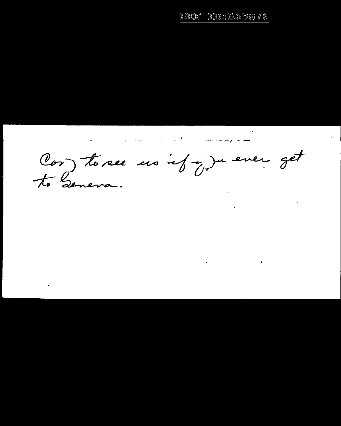100 : 总信题876  $\mathbb{R}\widehat{\otimes}\mathbb{H}^0\mathbb{R}^d$ 

**Contract Contract** 

**Contractor** 

and the contract of the

للمسامر وموسط للسبان المنافرة والمنادرة والمتعادية والمنافرة والمنافرة

Cor, to see us if y Ju ever get

**Contract**